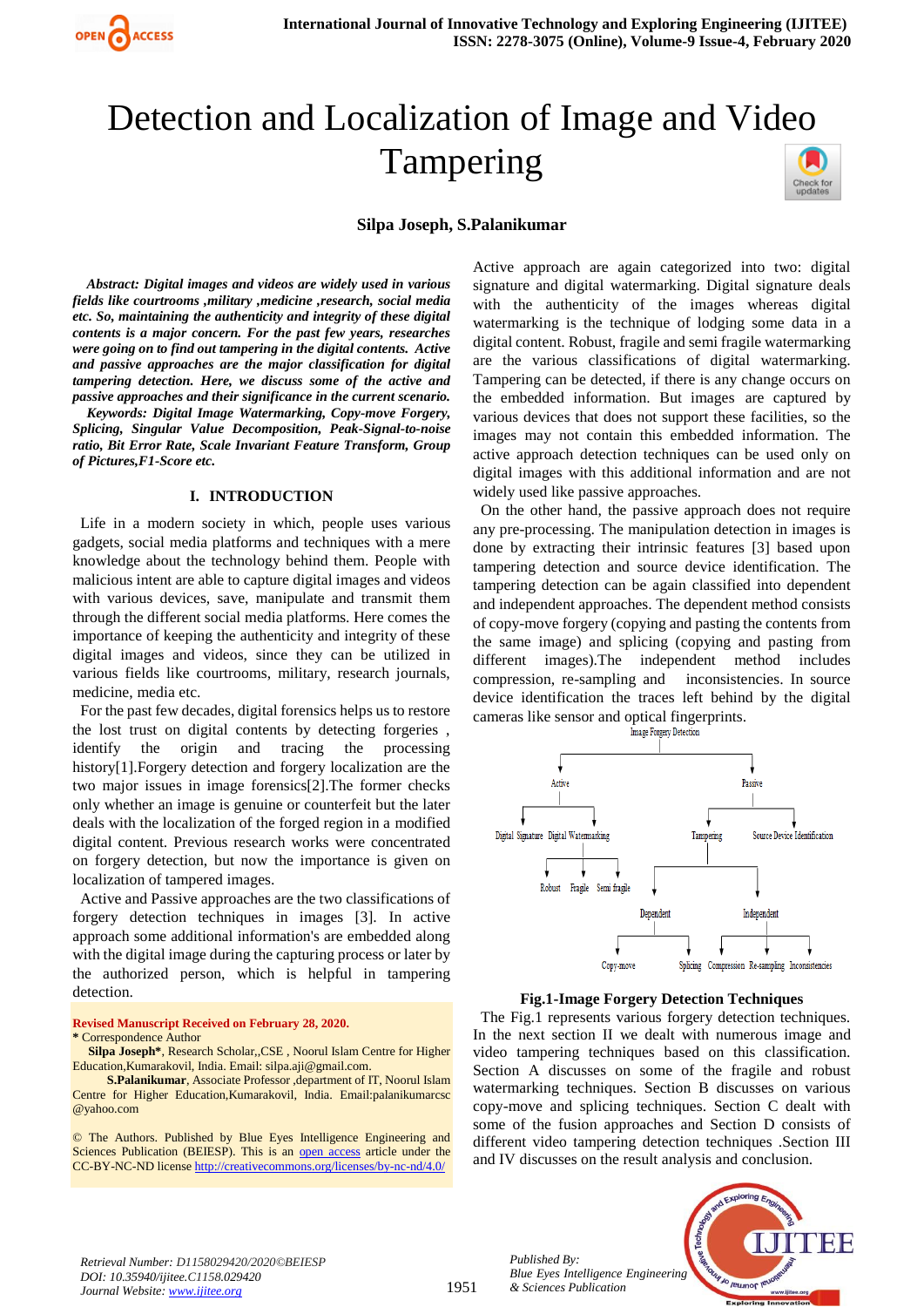

# Detection and Localization of Image and Video Tampering

#### **Silpa Joseph, S.Palanikumar**

 *Abstract: Digital images and videos are widely used in various fields like courtrooms ,military ,medicine ,research, social media etc. So, maintaining the authenticity and integrity of these digital contents is a major concern. For the past few years, researches were going on to find out tampering in the digital contents. Active and passive approaches are the major classification for digital tampering detection. Here, we discuss some of the active and passive approaches and their significance in the current scenario.*

 *Keywords: Digital Image Watermarking, Copy-move Forgery, Splicing, Singular Value Decomposition, Peak-Signal-to-noise ratio, Bit Error Rate, Scale Invariant Feature Transform, Group of Pictures,F1-Score etc.*

#### **I. INTRODUCTION**

 Life in a modern society in which, people uses various gadgets, social media platforms and techniques with a mere knowledge about the technology behind them. People with malicious intent are able to capture digital images and videos with various devices, save, manipulate and transmit them through the different social media platforms. Here comes the importance of keeping the authenticity and integrity of these digital images and videos, since they can be utilized in various fields like courtrooms, military, research journals, medicine, media etc.

 For the past few decades, digital forensics helps us to restore the lost trust on digital contents by detecting forgeries , identify the origin and tracing the processing history[1].Forgery detection and forgery localization are the two major issues in image forensics[2].The former checks only whether an image is genuine or counterfeit but the later deals with the localization of the forged region in a modified digital content. Previous research works were concentrated on forgery detection, but now the importance is given on localization of tampered images.

 Active and Passive approaches are the two classifications of forgery detection techniques in images [3]. In active approach some additional information's are embedded along with the digital image during the capturing process or later by the authorized person, which is helpful in tampering detection.

**Revised Manuscript Received on February 28, 2020.**

**\*** Correspondence Author

**Silpa Joseph\***, Research Scholar,,CSE , Noorul Islam Centre for Higher Education,Kumarakovil, India. Email: silpa.aji@gmail.com.

 **S.Palanikumar**, Associate Professor ,department of IT, Noorul Islam Centre for Higher Education,Kumarakovil, India. Email:palanikumarcsc @yahoo.com

© The Authors. Published by Blue Eyes Intelligence Engineering and Sciences Publication (BEIESP). This is an [open access](https://www.openaccess.nl/en/open-publications) article under the CC-BY-NC-ND licens[e http://creativecommons.org/licenses/by-nc-nd/4.0/](http://creativecommons.org/licenses/by-nc-nd/4.0/)

Active approach are again categorized into two: digital signature and digital watermarking. Digital signature deals with the authenticity of the images whereas digital watermarking is the technique of lodging some data in a digital content. Robust, fragile and semi fragile watermarking are the various classifications of digital watermarking. Tampering can be detected, if there is any change occurs on the embedded information. But images are captured by various devices that does not support these facilities, so the images may not contain this embedded information. The active approach detection techniques can be used only on digital images with this additional information and are not widely used like passive approaches.

 On the other hand, the passive approach does not require any pre-processing. The manipulation detection in images is done by extracting their intrinsic features [3] based upon tampering detection and source device identification. The tampering detection can be again classified into dependent and independent approaches. The dependent method consists of copy-move forgery (copying and pasting the contents from the same image) and splicing (copying and pasting from different images).The independent method includes compression, re-sampling and inconsistencies. In source device identification the traces left behind by the digital cameras like sensor and optical fingerprints.



#### **Fig.1-Image Forgery Detection Techniques**

 The Fig.1 represents various forgery detection techniques. In the next section II we dealt with numerous image and video tampering techniques based on this classification. Section A discusses on some of the fragile and robust watermarking techniques. Section B discusses on various copy-move and splicing techniques. Section C dealt with some of the fusion approaches and Section D consists of different video tampering detection techniques .Section III and IV discusses on the result analysis and conclusion.

*Retrieval Number: D1158029420/2020©BEIESP DOI: 10.35940/ijitee.C1158.029420 Journal Website: www.ijitee.org*

*Published By: Blue Eyes Intelligence Engineering & Sciences Publication* 

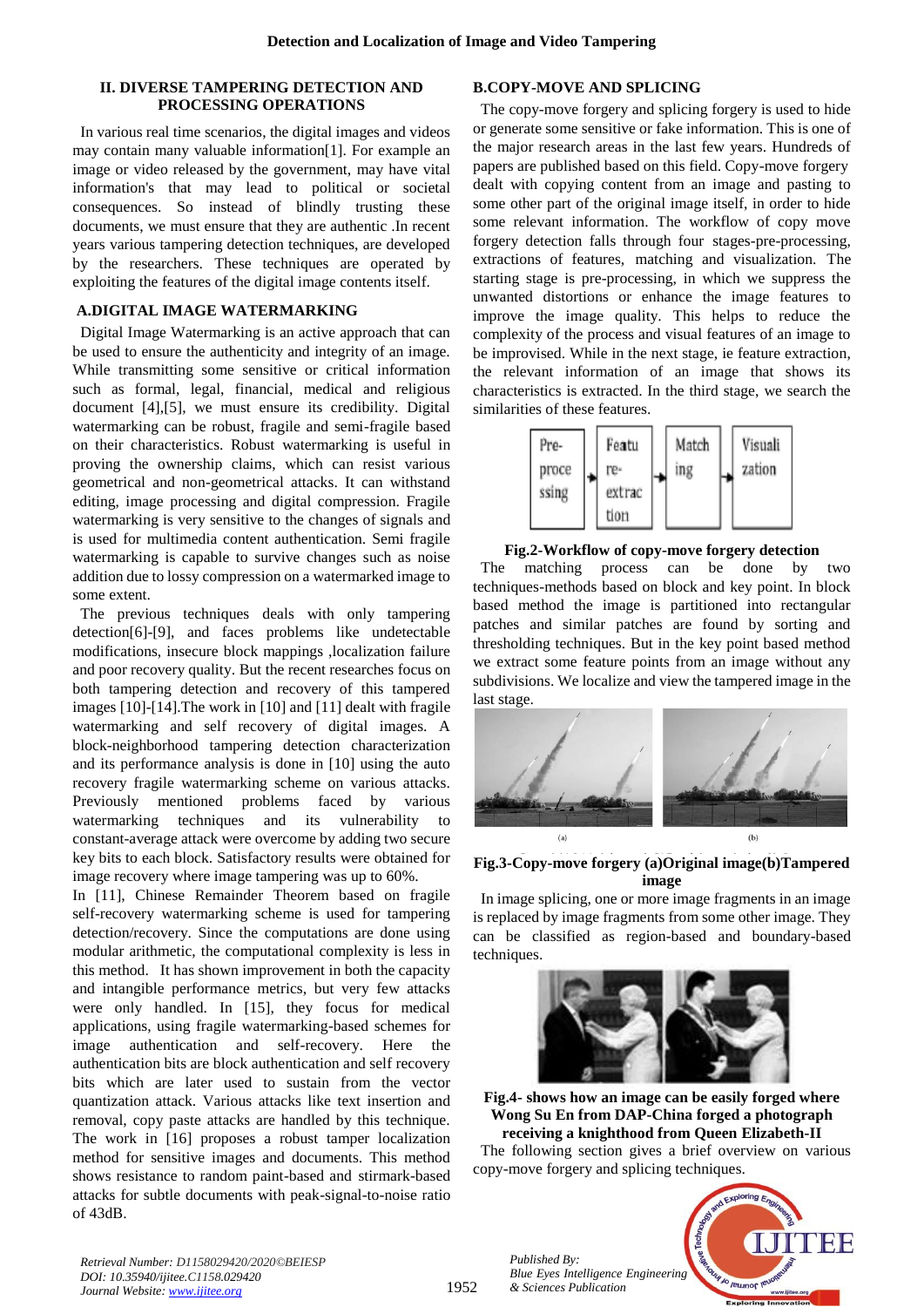### **II. DIVERSE TAMPERING DETECTION AND PROCESSING OPERATIONS**

 In various real time scenarios, the digital images and videos may contain many valuable information[1]. For example an image or video released by the government, may have vital information's that may lead to political or societal consequences. So instead of blindly trusting these documents, we must ensure that they are authentic .In recent years various tampering detection techniques, are developed by the researchers. These techniques are operated by exploiting the features of the digital image contents itself.

# **A.DIGITAL IMAGE WATERMARKING**

 Digital Image Watermarking is an active approach that can be used to ensure the authenticity and integrity of an image. While transmitting some sensitive or critical information such as formal, legal, financial, medical and religious document [4],[5], we must ensure its credibility. Digital watermarking can be robust, fragile and semi-fragile based on their characteristics. Robust watermarking is useful in proving the ownership claims, which can resist various geometrical and non-geometrical attacks. It can withstand editing, image processing and digital compression. Fragile watermarking is very sensitive to the changes of signals and is used for multimedia content authentication. Semi fragile watermarking is capable to survive changes such as noise addition due to lossy compression on a watermarked image to some extent.

 The previous techniques deals with only tampering detection[6]-[9], and faces problems like undetectable modifications, insecure block mappings ,localization failure and poor recovery quality. But the recent researches focus on both tampering detection and recovery of this tampered images [10]-[14].The work in [10] and [11] dealt with fragile watermarking and self recovery of digital images. A block-neighborhood tampering detection characterization and its performance analysis is done in [10] using the auto recovery fragile watermarking scheme on various attacks. Previously mentioned problems faced by various watermarking techniques and its vulnerability to constant-average attack were overcome by adding two secure key bits to each block. Satisfactory results were obtained for image recovery where image tampering was up to 60%.

In [11], Chinese Remainder Theorem based on fragile self-recovery watermarking scheme is used for tampering detection/recovery. Since the computations are done using modular arithmetic, the computational complexity is less in this method. It has shown improvement in both the capacity and intangible performance metrics, but very few attacks were only handled. In [15], they focus for medical applications, using fragile watermarking-based schemes for image authentication and self-recovery. Here the authentication bits are block authentication and self recovery bits which are later used to sustain from the vector quantization attack. Various attacks like text insertion and removal, copy paste attacks are handled by this technique. The work in [16] proposes a robust tamper localization method for sensitive images and documents. This method shows resistance to random paint-based and stirmark-based attacks for subtle documents with peak-signal-to-noise ratio of 43dB.

# **B.COPY-MOVE AND SPLICING**

 The copy-move forgery and splicing forgery is used to hide or generate some sensitive or fake information. This is one of the major research areas in the last few years. Hundreds of papers are published based on this field. Copy-move forgery dealt with copying content from an image and pasting to some other part of the original image itself, in order to hide some relevant information. The workflow of copy move forgery detection falls through four stages-pre-processing, extractions of features, matching and visualization. The starting stage is pre-processing, in which we suppress the unwanted distortions or enhance the image features to improve the image quality. This helps to reduce the complexity of the process and visual features of an image to be improvised. While in the next stage, ie feature extraction, the relevant information of an image that shows its characteristics is extracted. In the third stage, we search the similarities of these features.



# **Fig.2-Workflow of copy-move forgery detection**

 The matching process can be done by two techniques-methods based on block and key point. In block based method the image is partitioned into rectangular patches and similar patches are found by sorting and thresholding techniques. But in the key point based method we extract some feature points from an image without any subdivisions. We localize and view the tampered image in the last stage.



# **Fig.3-Copy-move forgery (a)Original image(b)Tampered image**

 In image splicing, one or more image fragments in an image is replaced by image fragments from some other image. They can be classified as region-based and boundary-based techniques.



**Fig.4- shows how an image can be easily forged where Wong Su En from DAP-China forged a photograph receiving a knighthood from Queen Elizabeth-II** The following section gives a brief overview on various

copy-move forgery and splicing techniques.



*Retrieval Number: D1158029420/2020©BEIESP DOI: 10.35940/ijitee.C1158.029420 Journal Website: www.ijitee.org*

*Published By:*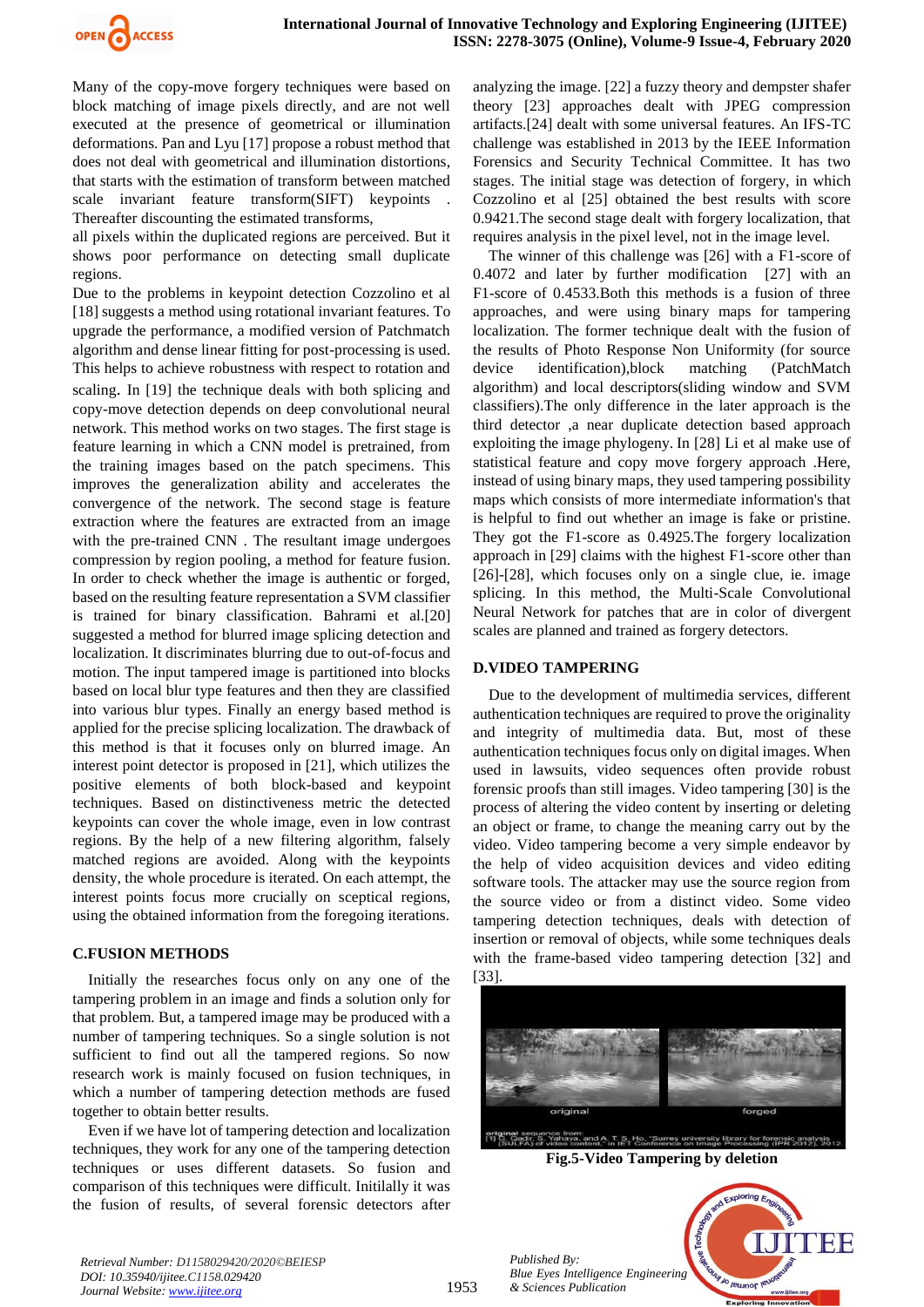

Many of the copy-move forgery techniques were based on block matching of image pixels directly, and are not well executed at the presence of geometrical or illumination deformations. Pan and Lyu [17] propose a robust method that does not deal with geometrical and illumination distortions, that starts with the estimation of transform between matched scale invariant feature transform(SIFT) keypoints Thereafter discounting the estimated transforms,

all pixels within the duplicated regions are perceived. But it shows poor performance on detecting small duplicate regions.

Due to the problems in keypoint detection Cozzolino et al [18] suggests a method using rotational invariant features. To upgrade the performance, a modified version of Patchmatch algorithm and dense linear fitting for post-processing is used. This helps to achieve robustness with respect to rotation and scaling. In [19] the technique deals with both splicing and copy-move detection depends on deep convolutional neural network. This method works on two stages. The first stage is feature learning in which a CNN model is pretrained, from the training images based on the patch specimens. This improves the generalization ability and accelerates the convergence of the network. The second stage is feature extraction where the features are extracted from an image with the pre-trained CNN . The resultant image undergoes compression by region pooling, a method for feature fusion. In order to check whether the image is authentic or forged, based on the resulting feature representation a SVM classifier is trained for binary classification. Bahrami et al.[20] suggested a method for blurred image splicing detection and localization. It discriminates blurring due to out-of-focus and motion. The input tampered image is partitioned into blocks based on local blur type features and then they are classified into various blur types. Finally an energy based method is applied for the precise splicing localization. The drawback of this method is that it focuses only on blurred image. An interest point detector is proposed in [21], which utilizes the positive elements of both block-based and keypoint techniques. Based on distinctiveness metric the detected keypoints can cover the whole image, even in low contrast regions. By the help of a new filtering algorithm, falsely matched regions are avoided. Along with the keypoints density, the whole procedure is iterated. On each attempt, the interest points focus more crucially on sceptical regions, using the obtained information from the foregoing iterations.

### **C.FUSION METHODS**

Initially the researches focus only on any one of the tampering problem in an image and finds a solution only for that problem. But, a tampered image may be produced with a number of tampering techniques. So a single solution is not sufficient to find out all the tampered regions. So now research work is mainly focused on fusion techniques, in which a number of tampering detection methods are fused together to obtain better results.

Even if we have lot of tampering detection and localization techniques, they work for any one of the tampering detection techniques or uses different datasets. So fusion and comparison of this techniques were difficult. Initilally it was the fusion of results, of several forensic detectors after

analyzing the image. [22] a fuzzy theory and dempster shafer theory [23] approaches dealt with JPEG compression artifacts.[24] dealt with some universal features. An IFS-TC challenge was established in 2013 by the IEEE Information Forensics and Security Technical Committee. It has two stages. The initial stage was detection of forgery, in which Cozzolino et al [25] obtained the best results with score 0.9421.The second stage dealt with forgery localization, that requires analysis in the pixel level, not in the image level.

The winner of this challenge was [26] with a F1-score of 0.4072 and later by further modification [27] with an F1-score of 0.4533.Both this methods is a fusion of three approaches, and were using binary maps for tampering localization. The former technique dealt with the fusion of the results of Photo Response Non Uniformity (for source device identification),block matching (PatchMatch algorithm) and local descriptors(sliding window and SVM classifiers).The only difference in the later approach is the third detector ,a near duplicate detection based approach exploiting the image phylogeny. In [28] Li et al make use of statistical feature and copy move forgery approach .Here, instead of using binary maps, they used tampering possibility maps which consists of more intermediate information's that is helpful to find out whether an image is fake or pristine. They got the F1-score as 0.4925.The forgery localization approach in [29] claims with the highest F1-score other than [26]-[28], which focuses only on a single clue, ie. image splicing. In this method, the Multi-Scale Convolutional Neural Network for patches that are in color of divergent scales are planned and trained as forgery detectors.

### **D.VIDEO TAMPERING**

Due to the development of multimedia services, different authentication techniques are required to prove the originality and integrity of multimedia data. But, most of these authentication techniques focus only on digital images. When used in lawsuits, video sequences often provide robust forensic proofs than still images. Video tampering [30] is the process of altering the video content by inserting or deleting an object or frame, to change the meaning carry out by the video. Video tampering become a very simple endeavor by the help of video acquisition devices and video editing software tools. The attacker may use the source region from the source video or from a distinct video. Some video tampering detection techniques, deals with detection of insertion or removal of objects, while some techniques deals with the frame-based video tampering detection [32] and [33].



**Fig.5-Video Tampering by deletion**



*Retrieval Number: D1158029420/2020©BEIESP DOI: 10.35940/ijitee.C1158.029420 Journal Website: www.ijitee.org*

*Published By:*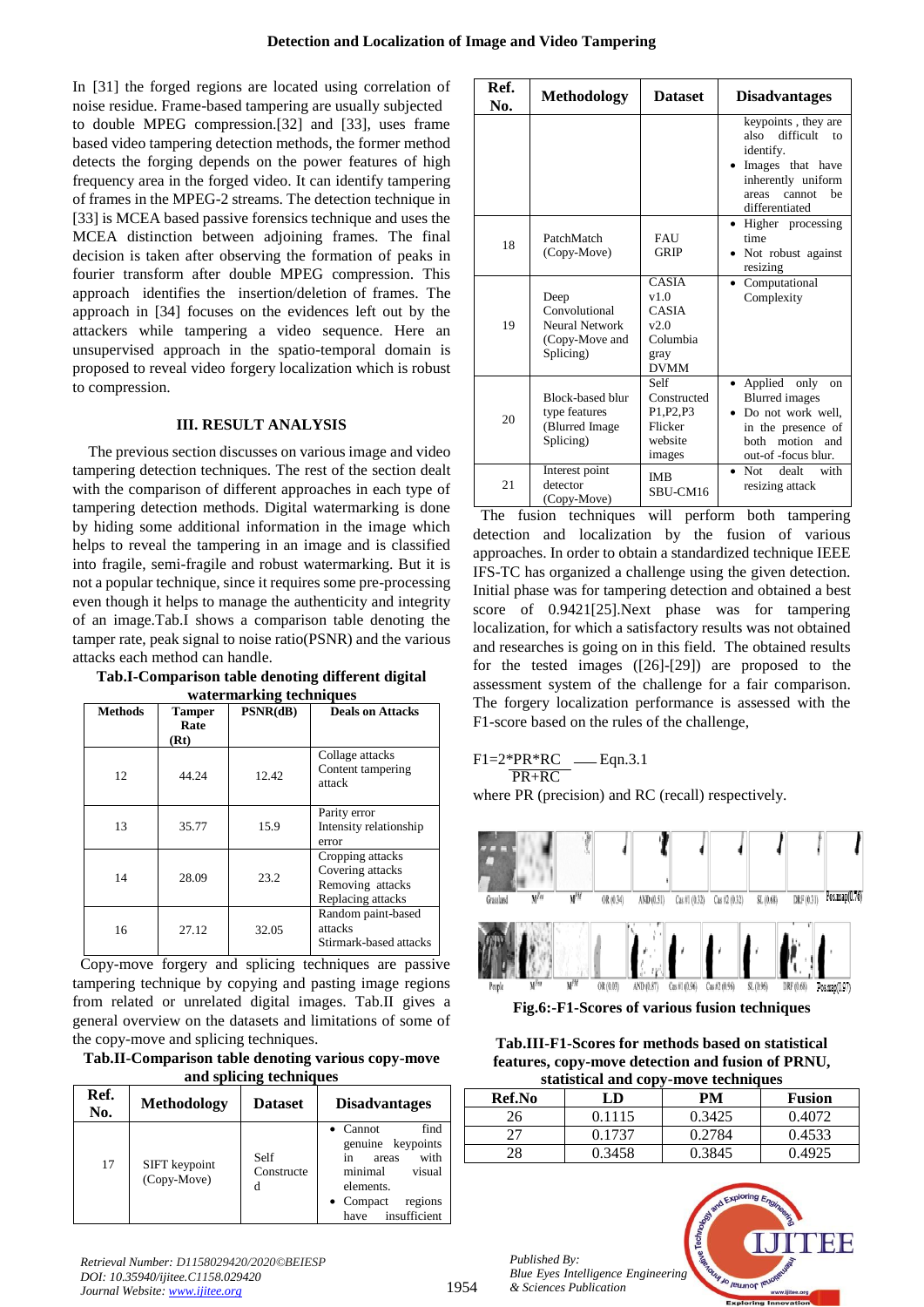In [31] the forged regions are located using correlation of noise residue. Frame-based tampering are usually subjected to double MPEG compression.[32] and [33], uses frame based video tampering detection methods, the former method detects the forging depends on the power features of high frequency area in the forged video. It can identify tampering of frames in the MPEG-2 streams. The detection technique in [33] is MCEA based passive forensics technique and uses the MCEA distinction between adjoining frames. The final decision is taken after observing the formation of peaks in fourier transform after double MPEG compression. This approach identifies the insertion/deletion of frames. The approach in [34] focuses on the evidences left out by the attackers while tampering a video sequence. Here an unsupervised approach in the spatio-temporal domain is proposed to reveal video forgery localization which is robust to compression.

# **III. RESULT ANALYSIS**

The previous section discusses on various image and video tampering detection techniques. The rest of the section dealt with the comparison of different approaches in each type of tampering detection methods. Digital watermarking is done by hiding some additional information in the image which helps to reveal the tampering in an image and is classified into fragile, semi-fragile and robust watermarking. But it is not a popular technique, since it requires some pre-processing even though it helps to manage the authenticity and integrity of an image.Tab.I shows a comparison table denoting the tamper rate, peak signal to noise ratio(PSNR) and the various attacks each method can handle.

**Tab.I-Comparison table denoting different digital watermarking techniques** 

| water man ming teening a co |                               |          |                                                                               |  |  |  |
|-----------------------------|-------------------------------|----------|-------------------------------------------------------------------------------|--|--|--|
| <b>Methods</b>              | <b>Tamper</b><br>Rate<br>(Rt) | PSNR(dB) | <b>Deals on Attacks</b>                                                       |  |  |  |
| 12                          | 44.24                         | 12.42    | Collage attacks<br>Content tampering<br>attack                                |  |  |  |
| 13                          | 35.77                         | 15.9     | Parity error<br>Intensity relationship<br>error                               |  |  |  |
| 14                          | 28.09                         | 23.2     | Cropping attacks<br>Covering attacks<br>Removing attacks<br>Replacing attacks |  |  |  |
| 16                          | 27.12                         | 32.05    | Random paint-based<br>attacks<br>Stirmark-based attacks                       |  |  |  |

 Copy-move forgery and splicing techniques are passive tampering technique by copying and pasting image regions from related or unrelated digital images. Tab.II gives a general overview on the datasets and limitations of some of the copy-move and splicing techniques.

**Tab.II-Comparison table denoting various copy-move and splicing techniques**

| Ref.<br>No. | <b>Methodology</b>           | <b>Dataset</b>          | <b>Disadvantages</b>                                                                                                                                           |  |
|-------------|------------------------------|-------------------------|----------------------------------------------------------------------------------------------------------------------------------------------------------------|--|
| 17          | SIFT keypoint<br>(Copy-Move) | Self<br>Constructe<br>d | $\bullet$ Cannot<br>find<br>genuine keypoints<br>with<br>areas<br>in<br>minimal<br>visual<br>elements.<br>$\bullet$ Compact<br>regions<br>insufficient<br>have |  |

| Ref.<br>No. | <b>Methodology</b>                                                      | <b>Dataset</b>                                                                  | <b>Disadvantages</b>                                                                                                                             |
|-------------|-------------------------------------------------------------------------|---------------------------------------------------------------------------------|--------------------------------------------------------------------------------------------------------------------------------------------------|
|             |                                                                         |                                                                                 | keypoints, they are<br>difficult<br>also<br>to<br>identify.<br>Images that have<br>inherently uniform<br>be<br>cannot<br>areas<br>differentiated |
| 18          | PatchMatch<br>(Copy-Move)                                               | FAU<br>GRIP                                                                     | Higher processing<br>time<br>Not robust against<br>resizing                                                                                      |
| 19          | Deep<br>Convolutional<br>Neural Network<br>(Copy-Move and<br>Splicing)  | <b>CASIA</b><br>v1.0<br><b>CASIA</b><br>v2.0<br>Columbia<br>gray<br><b>DVMM</b> | Computational<br>Complexity                                                                                                                      |
| 20          | <b>Block-based blur</b><br>type features<br>(Blurred Image<br>Splicing) | Self<br>Constructed<br>P1,P2,P3<br>Flicker<br>website<br>images                 | Applied<br>only<br>on<br><b>Blurred</b> images<br>Do not work well,<br>in the presence of<br>both motion and<br>out-of -focus blur.              |
| 21          | Interest point<br>detector<br>(Copy-Move)                               | <b>IMB</b><br>SBU-CM16                                                          | dealt<br>with<br>$\bullet$ Not<br>resizing attack                                                                                                |

 The fusion techniques will perform both tampering detection and localization by the fusion of various approaches. In order to obtain a standardized technique IEEE IFS-TC has organized a challenge using the given detection. Initial phase was for tampering detection and obtained a best score of 0.9421[25].Next phase was for tampering localization, for which a satisfactory results was not obtained and researches is going on in this field. The obtained results for the tested images ([26]-[29]) are proposed to the assessment system of the challenge for a fair comparison. The forgery localization performance is assessed with the F1-score based on the rules of the challenge,

$$
F1=2*PR*RC
$$
   
 
$$
PR+RC
$$
   
 
$$
Eqn.3.1
$$

where PR (precision) and RC (recall) respectively.



**Fig.6:-F1-Scores of various fusion techniques**

**Tab.III-F1-Scores for methods based on statistical features, copy-move detection and fusion of PRNU, statistical and copy-move techniques**

| staustical and copy-move techniques |        |        |               |  |  |  |
|-------------------------------------|--------|--------|---------------|--|--|--|
| Ref.No                              | LD     | PМ     | <b>Fusion</b> |  |  |  |
| 26                                  | 0.1115 | 0.3425 | 0.4072        |  |  |  |
|                                     | 0.1737 | 0.2784 | 0.4533        |  |  |  |
| 28                                  | 0.3458 | 0.3845 | 0.4925        |  |  |  |

*Published By: Blue Eyes Intelligence Engineering & Sciences Publication* 

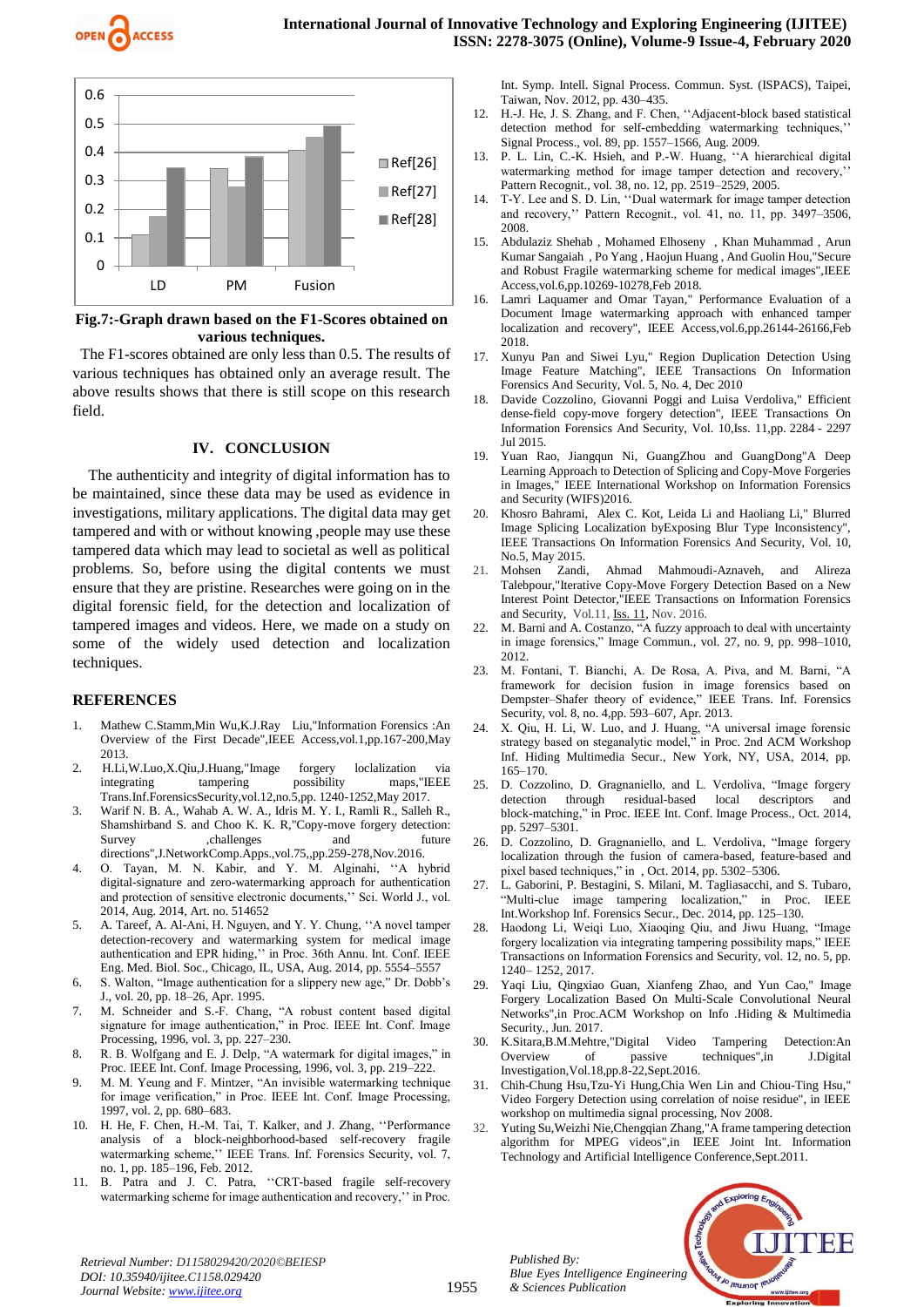



**Fig.7:-Graph drawn based on the F1-Scores obtained on various techniques.**

 The F1-scores obtained are only less than 0.5. The results of various techniques has obtained only an average result. The above results shows that there is still scope on this research field.

#### **IV. CONCLUSION**

The authenticity and integrity of digital information has to be maintained, since these data may be used as evidence in investigations, military applications. The digital data may get tampered and with or without knowing ,people may use these tampered data which may lead to societal as well as political problems. So, before using the digital contents we must ensure that they are pristine. Researches were going on in the digital forensic field, for the detection and localization of tampered images and videos. Here, we made on a study on some of the widely used detection and localization techniques.

#### **REFERENCES**

- 1. Mathew C.Stamm,Min Wu,K.J.Ray Liu,"Information Forensics :An Overview of the First Decade",IEEE Access,vol.1,pp.167-200,May 2013.
- 2. H.Li,W.Luo,X.Qiu,J.Huang,"Image forgery loclalization via integrating tampering possibility maps,"IEEE Trans.Inf.ForensicsSecurity,vol.12,no.5,pp. 1240-1252,May 2017.
- 3. Warif N. B. A., Wahab A. W. A., Idris M. Y. I., Ramli R., Salleh R., Shamshirband S. and Choo K. K. R,"Copy-move forgery detection: Survey ,challenges and future directions",J.NetworkComp.Apps.,vol.75,,pp.259-278,Nov.2016.
- 4. O. Tayan, M. N. Kabir, and Y. M. Alginahi, ''A hybrid digital-signature and zero-watermarking approach for authentication and protection of sensitive electronic documents,'' Sci. World J., vol. 2014, Aug. 2014, Art. no. 514652
- 5. A. Tareef, A. Al-Ani, H. Nguyen, and Y. Y. Chung, ''A novel tamper detection-recovery and watermarking system for medical image authentication and EPR hiding,'' in Proc. 36th Annu. Int. Conf. IEEE Eng. Med. Biol. Soc., Chicago, IL, USA, Aug. 2014, pp. 5554–5557
- 6. S. Walton, "Image authentication for a slippery new age," Dr. Dobb's J., vol. 20, pp. 18–26, Apr. 1995.
- 7. M. Schneider and S.-F. Chang, "A robust content based digital signature for image authentication," in Proc. IEEE Int. Conf. Image Processing, 1996, vol. 3, pp. 227–230.
- 8. R. B. Wolfgang and E. J. Delp, "A watermark for digital images," in Proc. IEEE Int. Conf. Image Processing, 1996, vol. 3, pp. 219–222.
- 9. M. M. Yeung and F. Mintzer, "An invisible watermarking technique for image verification," in Proc. IEEE Int. Conf. Image Processing, 1997, vol. 2, pp. 680–683.
- 10. H. He, F. Chen, H.-M. Tai, T. Kalker, and J. Zhang, ''Performance analysis of a block-neighborhood-based self-recovery fragile watermarking scheme,'' IEEE Trans. Inf. Forensics Security, vol. 7, no. 1, pp. 185–196, Feb. 2012.
- 11. B. Patra and J. C. Patra, ''CRT-based fragile self-recovery watermarking scheme for image authentication and recovery,'' in Proc.

Int. Symp. Intell. Signal Process. Commun. Syst. (ISPACS), Taipei, Taiwan, Nov. 2012, pp. 430–435.

- 12. H.-J. He, J. S. Zhang, and F. Chen, ''Adjacent-block based statistical detection method for self-embedding watermarking techniques,'' Signal Process., vol. 89, pp. 1557–1566, Aug. 2009.
- 13. P. L. Lin, C.-K. Hsieh, and P.-W. Huang, ''A hierarchical digital watermarking method for image tamper detection and recovery,' Pattern Recognit., vol. 38, no. 12, pp. 2519–2529, 2005.
- 14. T-Y. Lee and S. D. Lin, ''Dual watermark for image tamper detection and recovery,'' Pattern Recognit., vol. 41, no. 11, pp. 3497–3506, 2008.
- 15. Abdulaziz Shehab , Mohamed Elhoseny , Khan Muhammad , Arun Kumar Sangaiah , Po Yang , Haojun Huang , And Guolin Hou,"Secure and Robust Fragile watermarking scheme for medical images",IEEE Access,vol.6,pp.10269-10278,Feb 2018.
- 16. Lamri Laquamer and Omar Tayan," Performance Evaluation of a Document Image watermarking approach with enhanced tamper localization and recovery", IEEE Access,vol.6,pp.26144-26166,Feb 2018.
- 17. Xunyu Pan and Siwei Lyu," Region Duplication Detection Using Image Feature Matching", IEEE Transactions On Information Forensics And Security, Vol. 5, No. 4, Dec 2010
- 18. Davide Cozzolino, Giovanni Poggi and Luisa Verdoliva," Efficient dense-field copy-move forgery detection", IEEE Transactions On Information Forensics And Security, Vol. 10,Iss. 11,pp. 2284 - 2297 Jul 2015.
- 19. Yuan Rao, Jiangqun Ni, GuangZhou and GuangDong"A Deep Learning Approach to Detection of Splicing and Copy-Move Forgeries in Images," IEEE International Workshop on Information Forensics and Security (WIFS)2016.
- 20. Khosro Bahrami, Alex C. Kot, Leida Li and Haoliang Li," Blurred Image Splicing Localization byExposing Blur Type Inconsistency", IEEE Transactions On Information Forensics And Security, Vol. 10, No.5, May 2015.<br>Mohsen Zandi,
- 21. Mohsen Zandi, Ahmad Mahmoudi-Aznaveh, and Alireza Talebpour,"Iterative Copy-Move Forgery Detection Based on a New Interest Point Detector,"IEEE Transactions on Information Forensics and Security, Vol.11, [Iss. 11,](https://ieeexplore.ieee.org/xpl/tocresult.jsp?isnumber=7552616) Nov. 2016.
- 22. M. Barni and A. Costanzo, "A fuzzy approach to deal with uncertainty in image forensics," Image Commun., vol. 27, no. 9, pp. 998–1010, 2012.
- 23. M. Fontani, T. Bianchi, A. De Rosa, A. Piva, and M. Barni, "A framework for decision fusion in image forensics based on Dempster–Shafer theory of evidence," IEEE Trans. Inf. Forensics Security, vol. 8, no. 4,pp. 593–607, Apr. 2013.
- X. Qiu, H. Li, W. Luo, and J. Huang, "A universal image forensic strategy based on steganalytic model," in Proc. 2nd ACM Workshop Inf. Hiding Multimedia Secur., New York, NY, USA, 2014, pp. 165–170.
- 25. D. Cozzolino, D. Gragnaniello, and L. Verdoliva, "Image forgery detection through residual-based local descriptors and block-matching," in Proc. IEEE Int. Conf. Image Process., Oct. 2014, pp. 5297–5301.
- 26. D. Cozzolino, D. Gragnaniello, and L. Verdoliva, "Image forgery localization through the fusion of camera-based, feature-based and pixel based techniques," in , Oct. 2014, pp. 5302–5306.
- 27. L. Gaborini, P. Bestagini, S. Milani, M. Tagliasacchi, and S. Tubaro, "Multi-clue image tampering localization," in Proc. IEEE Int.Workshop Inf. Forensics Secur., Dec. 2014, pp. 125–130.
- 28. Haodong Li, Weiqi Luo, Xiaoqing Qiu, and Jiwu Huang, "Image forgery localization via integrating tampering possibility maps," IEEE Transactions on Information Forensics and Security, vol. 12, no. 5, pp. 1240– 1252, 2017.
- 29. Yaqi Liu, Qingxiao Guan, Xianfeng Zhao, and Yun Cao," Image Forgery Localization Based On Multi-Scale Convolutional Neural Networks",in Proc.ACM Workshop on Info .Hiding & Multimedia Security., Jun. 2017.
- 30. [K.Sitara,B.M.Mehtre,"](https://www.sciencedirect.com/science/article/pii/S1742287616300718#!)Digital Video Tampering Detection:An Overview of passive techniques",in J.Digital Investigation,Vol.18,pp.8-22,Sept.2016.
- 31. Chih-Chung Hsu,Tzu-Yi Hung,Chia Wen Lin and Chiou-Ting Hsu," Video Forgery Detection using correlation of noise residue", in IEEE workshop on multimedia signal processing, Nov 2008.
- 32. [Yuting](https://www.sciencedirect.com/science/article/pii/S1742287616300718#!) S[u,Weizhi](https://www.sciencedirect.com/science/article/pii/S1742287616300718#!) Nie,Chengqian Zhang,"A frame tampering detection algorithm for MPEG videos",in [IEEE Joint Int. Information](https://ieeexplore.ieee.org/xpl/mostRecentIssue.jsp?punumber=6022443)  [Technology and Artificial Intelligence Conference,S](https://ieeexplore.ieee.org/xpl/mostRecentIssue.jsp?punumber=6022443)ept.2011.



*Retrieval Number: D1158029420/2020©BEIESP DOI: 10.35940/ijitee.C1158.029420 Journal Website: www.ijitee.org*

*Published By:*